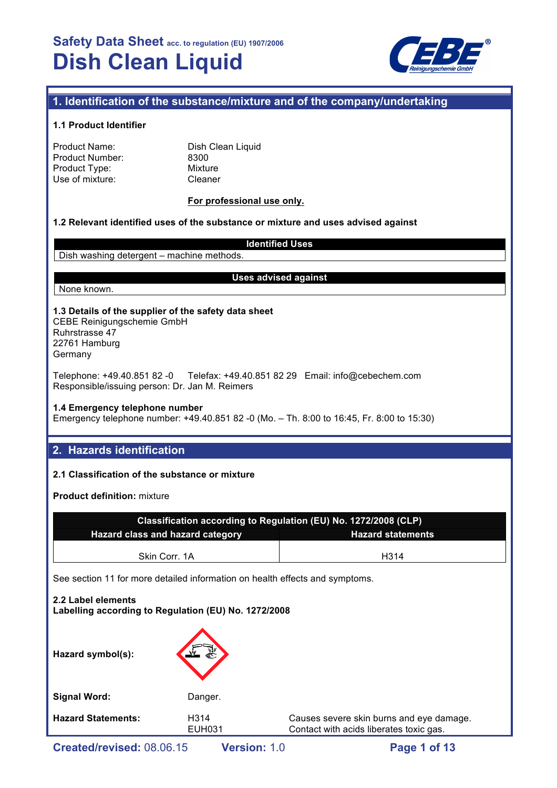

## **1. Identification of the substance/mixture and of the company/undertaking**

#### **1.1 Product Identifier**

| Product Name:   |  |
|-----------------|--|
| Product Number: |  |
| Product Type:   |  |
| Use of mixture: |  |

Dish Clean Liquid 8300 **Mixture** Cleaner

#### **For professional use only.**

#### **1.2 Relevant identified uses of the substance or mixture and uses advised against**

**Identified Uses** Dish washing detergent – machine methods.

None known.

#### **Uses advised against**

## **1.3 Details of the supplier of the safety data sheet**

CEBE Reinigungschemie GmbH Ruhrstrasse 47 22761 Hamburg Germany

Telephone: +49.40.851 82 -0 Telefax: +49.40.851 82 29 Email: info@cebechem.com Responsible/issuing person: Dr. Jan M. Reimers

#### **1.4 Emergency telephone number**

Emergency telephone number: +49.40.851 82 -0 (Mo. – Th. 8:00 to 16:45, Fr. 8:00 to 15:30)

## **2. Hazards identification**

### **2.1 Classification of the substance or mixture**

**Product definition:** mixture

| Classification according to Regulation (EU) No. 1272/2008 (CLP) |      |  |  |
|-----------------------------------------------------------------|------|--|--|
| Hazard class and hazard category<br><b>Hazard statements</b>    |      |  |  |
| Skin Corr. 1A                                                   | H314 |  |  |

See section 11 for more detailed information on health effects and symptoms.

## **2.2 Label elements Labelling according to Regulation (EU) No. 1272/2008**

| Hazard symbol(s):         | 氯                                  |                                                                                     |
|---------------------------|------------------------------------|-------------------------------------------------------------------------------------|
| <b>Signal Word:</b>       | Danger.                            |                                                                                     |
| <b>Hazard Statements:</b> | H <sub>3</sub> 14<br><b>EUH031</b> | Causes severe skin burns and eye damage.<br>Contact with acids liberates toxic gas. |
|                           |                                    |                                                                                     |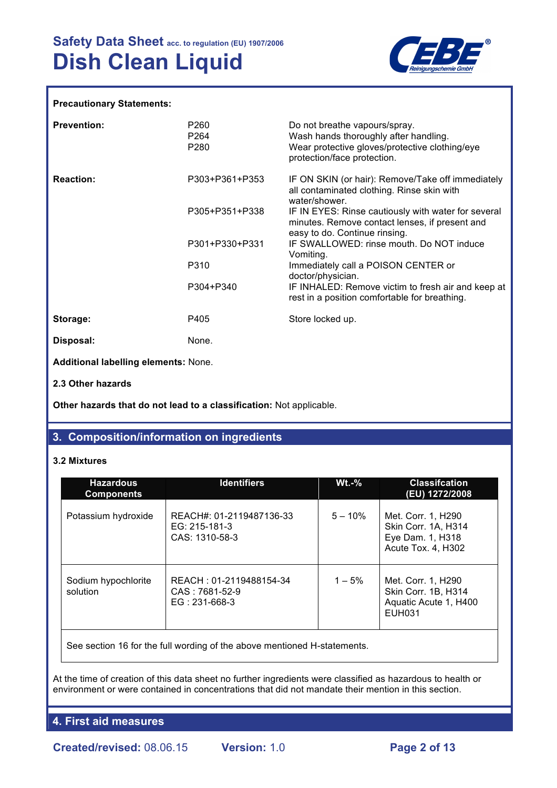

#### **Precautionary Statements:**

| <b>Prevention:</b>                   | P260<br>P <sub>264</sub><br>P <sub>280</sub> | Do not breathe vapours/spray.<br>Wash hands thoroughly after handling.<br>Wear protective gloves/protective clothing/eye<br>protection/face protection. |
|--------------------------------------|----------------------------------------------|---------------------------------------------------------------------------------------------------------------------------------------------------------|
| <b>Reaction:</b>                     | P303+P361+P353                               | IF ON SKIN (or hair): Remove/Take off immediately<br>all contaminated clothing. Rinse skin with<br>water/shower.                                        |
|                                      | P305+P351+P338                               | IF IN EYES: Rinse cautiously with water for several<br>minutes. Remove contact lenses, if present and<br>easy to do. Continue rinsing.                  |
|                                      | P301+P330+P331                               | IF SWALLOWED: rinse mouth. Do NOT induce<br>Vomiting.                                                                                                   |
|                                      | P310                                         | Immediately call a POISON CENTER or<br>doctor/physician.                                                                                                |
|                                      | P304+P340                                    | IF INHALED: Remove victim to fresh air and keep at<br>rest in a position comfortable for breathing.                                                     |
| Storage:                             | P405                                         | Store locked up.                                                                                                                                        |
| Disposal:                            | None.                                        |                                                                                                                                                         |
| Additional labelling elements: None. |                                              |                                                                                                                                                         |
| 2.3 Other hazards                    |                                              |                                                                                                                                                         |

**Other hazards that do not lead to a classification:** Not applicable.

## **3. Composition/information on ingredients**

#### **3.2 Mixtures**

| <b>Hazardous</b><br><b>Components</b> | <b>Identifiers</b>                                           | $Wt.-\%$  | <b>Classifcation</b><br>(EU) 1272/2008                                              |
|---------------------------------------|--------------------------------------------------------------|-----------|-------------------------------------------------------------------------------------|
| Potassium hydroxide                   | REACH#: 01-2119487136-33<br>EG: 215-181-3<br>CAS: 1310-58-3  | $5 - 10%$ | Met. Corr. 1, H290<br>Skin Corr. 1A, H314<br>Eye Dam. 1, H318<br>Acute Tox. 4, H302 |
| Sodium hypochlorite<br>solution       | REACH: 01-2119488154-34<br>CAS: 7681-52-9<br>$EG: 231-668-3$ | $1 - 5%$  | Met. Corr. 1, H290<br>Skin Corr. 1B, H314<br>Aquatic Acute 1, H400<br><b>EUH031</b> |
|                                       |                                                              |           |                                                                                     |

See section 16 for the full wording of the above mentioned H-statements.

At the time of creation of this data sheet no further ingredients were classified as hazardous to health or environment or were contained in concentrations that did not mandate their mention in this section.

**4. First aid measures**

**Created/revised:** 08.06.15 **Version:** 1.0 **Page 2 of 13**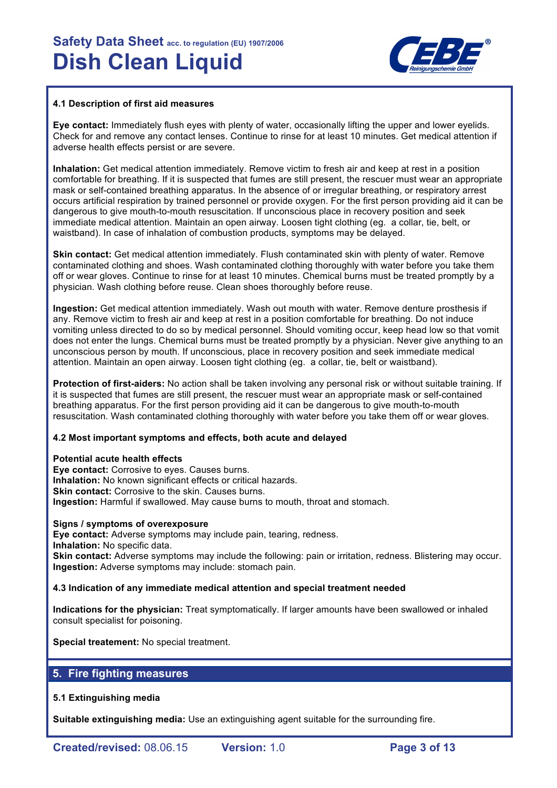

#### **4.1 Description of first aid measures**

**Eye contact:** Immediately flush eyes with plenty of water, occasionally lifting the upper and lower eyelids. Check for and remove any contact lenses. Continue to rinse for at least 10 minutes. Get medical attention if adverse health effects persist or are severe.

**Inhalation:** Get medical attention immediately. Remove victim to fresh air and keep at rest in a position comfortable for breathing. If it is suspected that fumes are still present, the rescuer must wear an appropriate mask or self-contained breathing apparatus. In the absence of or irregular breathing, or respiratory arrest occurs artificial respiration by trained personnel or provide oxygen. For the first person providing aid it can be dangerous to give mouth-to-mouth resuscitation. If unconscious place in recovery position and seek immediate medical attention. Maintain an open airway. Loosen tight clothing (eg. a collar, tie, belt, or waistband). In case of inhalation of combustion products, symptoms may be delayed.

**Skin contact:** Get medical attention immediately. Flush contaminated skin with plenty of water. Remove contaminated clothing and shoes. Wash contaminated clothing thoroughly with water before you take them off or wear gloves. Continue to rinse for at least 10 minutes. Chemical burns must be treated promptly by a physician. Wash clothing before reuse. Clean shoes thoroughly before reuse.

**Ingestion:** Get medical attention immediately. Wash out mouth with water. Remove denture prosthesis if any. Remove victim to fresh air and keep at rest in a position comfortable for breathing. Do not induce vomiting unless directed to do so by medical personnel. Should vomiting occur, keep head low so that vomit does not enter the lungs. Chemical burns must be treated promptly by a physician. Never give anything to an unconscious person by mouth. If unconscious, place in recovery position and seek immediate medical attention. Maintain an open airway. Loosen tight clothing (eg. a collar, tie, belt or waistband).

**Protection of first-aiders:** No action shall be taken involving any personal risk or without suitable training. If it is suspected that fumes are still present, the rescuer must wear an appropriate mask or self-contained breathing apparatus. For the first person providing aid it can be dangerous to give mouth-to-mouth resuscitation. Wash contaminated clothing thoroughly with water before you take them off or wear gloves.

### **4.2 Most important symptoms and effects, both acute and delayed**

#### **Potential acute health effects**

**Eye contact:** Corrosive to eyes. Causes burns. **Inhalation:** No known significant effects or critical hazards. **Skin contact:** Corrosive to the skin. Causes burns. **Ingestion:** Harmful if swallowed. May cause burns to mouth, throat and stomach.

#### **Signs / symptoms of overexposure**

**Eye contact:** Adverse symptoms may include pain, tearing, redness.

**Inhalation:** No specific data.

**Skin contact:** Adverse symptoms may include the following: pain or irritation, redness. Blistering may occur. **Ingestion:** Adverse symptoms may include: stomach pain.

#### **4.3 Indication of any immediate medical attention and special treatment needed**

**Indications for the physician:** Treat symptomatically. If larger amounts have been swallowed or inhaled consult specialist for poisoning.

**Special treatement:** No special treatment.

## **5. Fire fighting measures**

#### **5.1 Extinguishing media**

**Suitable extinguishing media:** Use an extinguishing agent suitable for the surrounding fire.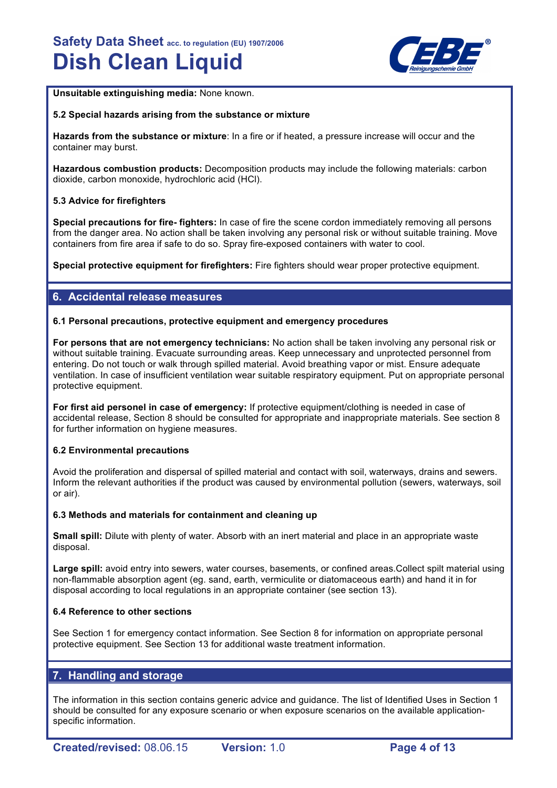

**Unsuitable extinguishing media:** None known.

#### **5.2 Special hazards arising from the substance or mixture**

**Hazards from the substance or mixture**: In a fire or if heated, a pressure increase will occur and the container may burst.

**Hazardous combustion products:** Decomposition products may include the following materials: carbon dioxide, carbon monoxide, hydrochloric acid (HCl).

#### **5.3 Advice for firefighters**

**Special precautions for fire- fighters:** In case of fire the scene cordon immediately removing all persons from the danger area. No action shall be taken involving any personal risk or without suitable training. Move containers from fire area if safe to do so. Spray fire-exposed containers with water to cool.

**Special protective equipment for firefighters:** Fire fighters should wear proper protective equipment.

## **6. Accidental release measures**

#### **6.1 Personal precautions, protective equipment and emergency procedures**

**For persons that are not emergency technicians:** No action shall be taken involving any personal risk or without suitable training. Evacuate surrounding areas. Keep unnecessary and unprotected personnel from entering. Do not touch or walk through spilled material. Avoid breathing vapor or mist. Ensure adequate ventilation. In case of insufficient ventilation wear suitable respiratory equipment. Put on appropriate personal protective equipment.

**For first aid personel in case of emergency:** If protective equipment/clothing is needed in case of accidental release, Section 8 should be consulted for appropriate and inappropriate materials. See section 8 for further information on hygiene measures.

#### **6.2 Environmental precautions**

Avoid the proliferation and dispersal of spilled material and contact with soil, waterways, drains and sewers. Inform the relevant authorities if the product was caused by environmental pollution (sewers, waterways, soil or air).

#### **6.3 Methods and materials for containment and cleaning up**

**Small spill:** Dilute with plenty of water. Absorb with an inert material and place in an appropriate waste disposal.

**Large spill:** avoid entry into sewers, water courses, basements, or confined areas.Collect spilt material using non-flammable absorption agent (eg. sand, earth, vermiculite or diatomaceous earth) and hand it in for disposal according to local regulations in an appropriate container (see section 13).

#### **6.4 Reference to other sections**

See Section 1 for emergency contact information. See Section 8 for information on appropriate personal protective equipment. See Section 13 for additional waste treatment information.

## **7. Handling and storage**

The information in this section contains generic advice and guidance. The list of Identified Uses in Section 1 should be consulted for any exposure scenario or when exposure scenarios on the available applicationspecific information.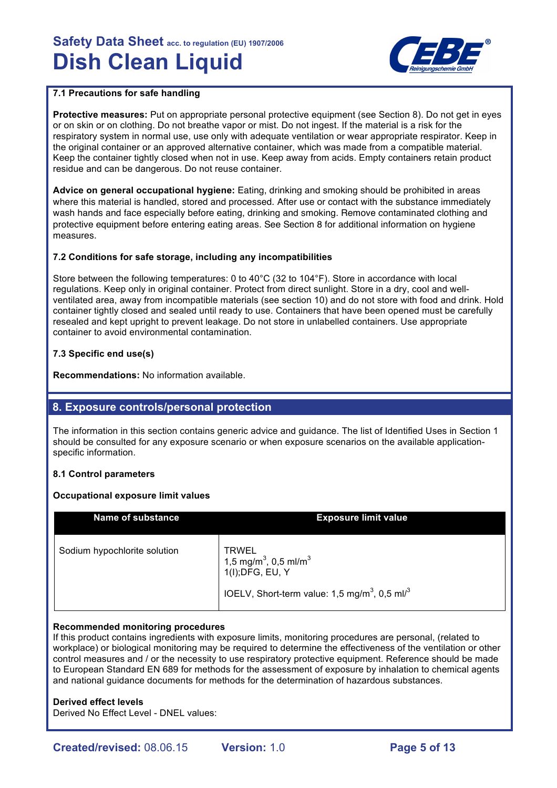

## **7.1 Precautions for safe handling**

**Protective measures:** Put on appropriate personal protective equipment (see Section 8). Do not get in eyes or on skin or on clothing. Do not breathe vapor or mist. Do not ingest. If the material is a risk for the respiratory system in normal use, use only with adequate ventilation or wear appropriate respirator. Keep in the original container or an approved alternative container, which was made from a compatible material. Keep the container tightly closed when not in use. Keep away from acids. Empty containers retain product residue and can be dangerous. Do not reuse container.

**Advice on general occupational hygiene:** Eating, drinking and smoking should be prohibited in areas where this material is handled, stored and processed. After use or contact with the substance immediately wash hands and face especially before eating, drinking and smoking. Remove contaminated clothing and protective equipment before entering eating areas. See Section 8 for additional information on hygiene measures.

### **7.2 Conditions for safe storage, including any incompatibilities**

Store between the following temperatures: 0 to 40°C (32 to 104°F). Store in accordance with local regulations. Keep only in original container. Protect from direct sunlight. Store in a dry, cool and wellventilated area, away from incompatible materials (see section 10) and do not store with food and drink. Hold container tightly closed and sealed until ready to use. Containers that have been opened must be carefully resealed and kept upright to prevent leakage. Do not store in unlabelled containers. Use appropriate container to avoid environmental contamination.

### **7.3 Specific end use(s)**

**Recommendations:** No information available.

## **8. Exposure controls/personal protection**

The information in this section contains generic advice and guidance. The list of Identified Uses in Section 1 should be consulted for any exposure scenario or when exposure scenarios on the available applicationspecific information.

#### **8.1 Control parameters**

#### **Occupational exposure limit values**

| <b>Name of substance</b>     | <b>Exposure limit value</b>                                                                                                                                |
|------------------------------|------------------------------------------------------------------------------------------------------------------------------------------------------------|
| Sodium hypochlorite solution | <b>TRWEL</b><br>1,5 mg/m <sup>3</sup> , 0,5 ml/m <sup>3</sup><br>1(I); DFG, EU, Y<br>IOELV, Short-term value: 1,5 mg/m <sup>3</sup> , 0,5 ml/ <sup>3</sup> |

#### **Recommended monitoring procedures**

If this product contains ingredients with exposure limits, monitoring procedures are personal, (related to workplace) or biological monitoring may be required to determine the effectiveness of the ventilation or other control measures and / or the necessity to use respiratory protective equipment. Reference should be made to European Standard EN 689 for methods for the assessment of exposure by inhalation to chemical agents and national guidance documents for methods for the determination of hazardous substances.

#### **Derived effect levels**

Derived No Effect Level - DNEL values: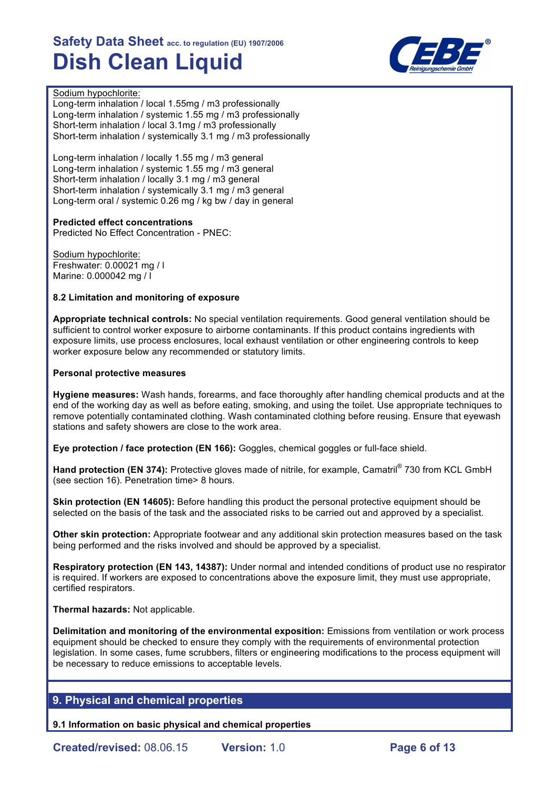

#### Sodium hypochlorite:

Long-term inhalation / local 1.55mg / m3 professionally Long-term inhalation / systemic 1.55 mg / m3 professionally Short-term inhalation / local 3.1mg / m3 professionally Short-term inhalation / systemically 3.1 mg / m3 professionally

Long-term inhalation / locally 1.55 mg / m3 general Long-term inhalation / systemic 1.55 mg / m3 general Short-term inhalation / locally 3.1 mg / m3 general Short-term inhalation / systemically 3.1 mg / m3 general Long-term oral / systemic 0.26 mg / kg bw / day in general

### **Predicted effect concentrations**

Predicted No Effect Concentration - PNEC:

Sodium hypochlorite: Freshwater: 0.00021 mg / l Marine: 0.000042 mg / l

#### **8.2 Limitation and monitoring of exposure**

**Appropriate technical controls:** No special ventilation requirements. Good general ventilation should be sufficient to control worker exposure to airborne contaminants. If this product contains ingredients with exposure limits, use process enclosures, local exhaust ventilation or other engineering controls to keep worker exposure below any recommended or statutory limits.

#### **Personal protective measures**

**Hygiene measures:** Wash hands, forearms, and face thoroughly after handling chemical products and at the end of the working day as well as before eating, smoking, and using the toilet. Use appropriate techniques to remove potentially contaminated clothing. Wash contaminated clothing before reusing. Ensure that eyewash stations and safety showers are close to the work area.

**Eye protection / face protection (EN 166):** Goggles, chemical goggles or full-face shield.

Hand protection (EN 374): Protective gloves made of nitrile, for example, Camatril<sup>®</sup> 730 from KCL GmbH (see section 16). Penetration time> 8 hours.

**Skin protection (EN 14605):** Before handling this product the personal protective equipment should be selected on the basis of the task and the associated risks to be carried out and approved by a specialist.

**Other skin protection:** Appropriate footwear and any additional skin protection measures based on the task being performed and the risks involved and should be approved by a specialist.

**Respiratory protection (EN 143, 14387):** Under normal and intended conditions of product use no respirator is required. If workers are exposed to concentrations above the exposure limit, they must use appropriate, certified respirators.

### **Thermal hazards:** Not applicable.

**Delimitation and monitoring of the environmental exposition:** Emissions from ventilation or work process equipment should be checked to ensure they comply with the requirements of environmental protection legislation. In some cases, fume scrubbers, filters or engineering modifications to the process equipment will be necessary to reduce emissions to acceptable levels.

## **9. Physical and chemical properties**

**9.1 Information on basic physical and chemical properties**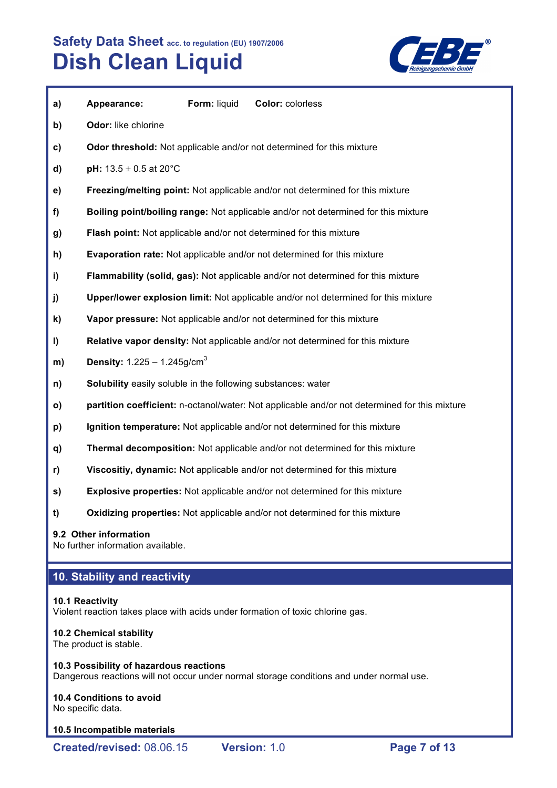

| a)           | Appearance:                                                         | Form: liquid | Color: colorless                                                                              |
|--------------|---------------------------------------------------------------------|--------------|-----------------------------------------------------------------------------------------------|
| b)           | Odor: like chlorine                                                 |              |                                                                                               |
| c)           |                                                                     |              | <b>Odor threshold:</b> Not applicable and/or not determined for this mixture                  |
| d)           | <b>pH:</b> $13.5 \pm 0.5$ at 20°C                                   |              |                                                                                               |
| e)           |                                                                     |              | Freezing/melting point: Not applicable and/or not determined for this mixture                 |
| f            |                                                                     |              | Boiling point/boiling range: Not applicable and/or not determined for this mixture            |
| g)           |                                                                     |              | Flash point: Not applicable and/or not determined for this mixture                            |
| h)           |                                                                     |              | <b>Evaporation rate:</b> Not applicable and/or not determined for this mixture                |
| i)           |                                                                     |              | Flammability (solid, gas): Not applicable and/or not determined for this mixture              |
| j)           |                                                                     |              | Upper/lower explosion limit: Not applicable and/or not determined for this mixture            |
| k)           |                                                                     |              | Vapor pressure: Not applicable and/or not determined for this mixture                         |
| I)           |                                                                     |              | Relative vapor density: Not applicable and/or not determined for this mixture                 |
| m)           | <b>Density:</b> $1.225 - 1.245$ g/cm <sup>3</sup>                   |              |                                                                                               |
| n)           | <b>Solubility</b> easily soluble in the following substances: water |              |                                                                                               |
| $\mathsf{o}$ |                                                                     |              | partition coefficient: n-octanol/water: Not applicable and/or not determined for this mixture |
| p)           |                                                                     |              | Ignition temperature: Not applicable and/or not determined for this mixture                   |
| q)           |                                                                     |              | Thermal decomposition: Not applicable and/or not determined for this mixture                  |
| r)           |                                                                     |              | Viscositiy, dynamic: Not applicable and/or not determined for this mixture                    |

- **s) Explosive properties:** Not applicable and/or not determined for this mixture
- **t) Oxidizing properties:** Not applicable and/or not determined for this mixture

#### **9.2 Other information**

No further information available.

## **10. Stability and reactivity**

#### **10.1 Reactivity**

Violent reaction takes place with acids under formation of toxic chlorine gas.

#### **10.2 Chemical stability**

The product is stable.

### **10.3 Possibility of hazardous reactions**

Dangerous reactions will not occur under normal storage conditions and under normal use.

## **10.4 Conditions to avoid**

No specific data.

#### **10.5 Incompatible materials**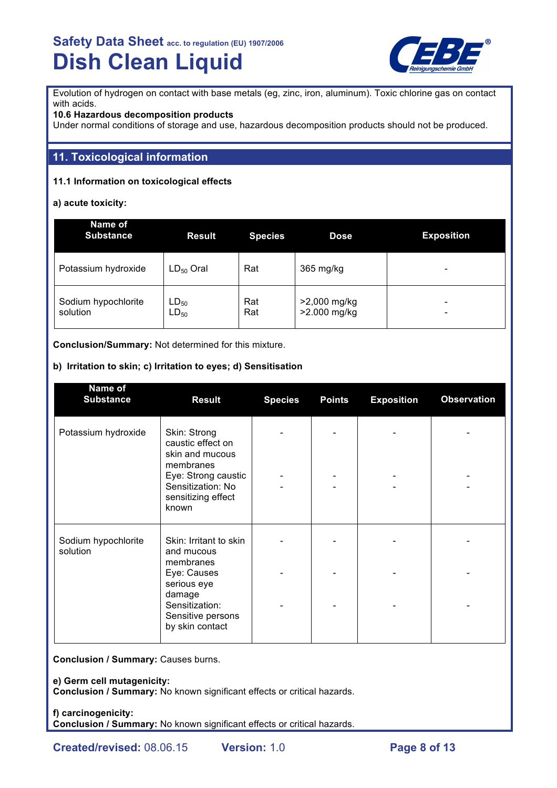

Evolution of hydrogen on contact with base metals (eg, zinc, iron, aluminum). Toxic chlorine gas on contact with acids.

### **10.6 Hazardous decomposition products**

Under normal conditions of storage and use, hazardous decomposition products should not be produced.

## **11. Toxicological information**

## **11.1 Information on toxicological effects**

**a) acute toxicity:**

| Name of<br><b>Substance</b>     | <b>Result</b>          | <b>Species</b> | <b>Dose</b>                  | <b>Exposition</b> |
|---------------------------------|------------------------|----------------|------------------------------|-------------------|
| Potassium hydroxide             | $LD_{50}$ Oral         | Rat            | 365 mg/kg                    | -                 |
| Sodium hypochlorite<br>solution | $LD_{50}$<br>$LD_{50}$ | Rat<br>Rat     | >2,000 mg/kg<br>>2.000 mg/kg | -<br>-            |

**Conclusion/Summary:** Not determined for this mixture.

### **b) Irritation to skin; c) Irritation to eyes; d) Sensitisation**

| Name of<br><b>Substance</b>     | <b>Result</b>                                                                                                                                | <b>Species</b> | <b>Points</b> | <b>Exposition</b> | <b>Observation</b> |
|---------------------------------|----------------------------------------------------------------------------------------------------------------------------------------------|----------------|---------------|-------------------|--------------------|
| Potassium hydroxide             | Skin: Strong<br>caustic effect on<br>skin and mucous<br>membranes<br>Eye: Strong caustic<br>Sensitization: No<br>sensitizing effect<br>known |                |               |                   |                    |
| Sodium hypochlorite<br>solution | Skin: Irritant to skin<br>and mucous<br>membranes                                                                                            |                |               |                   |                    |
|                                 | Eye: Causes<br>serious eye<br>damage<br>Sensitization:<br>Sensitive persons<br>by skin contact                                               |                |               |                   |                    |

**Conclusion / Summary:** Causes burns.

**e) Germ cell mutagenicity:**

**Conclusion / Summary:** No known significant effects or critical hazards.

**f) carcinogenicity: Conclusion / Summary:** No known significant effects or critical hazards.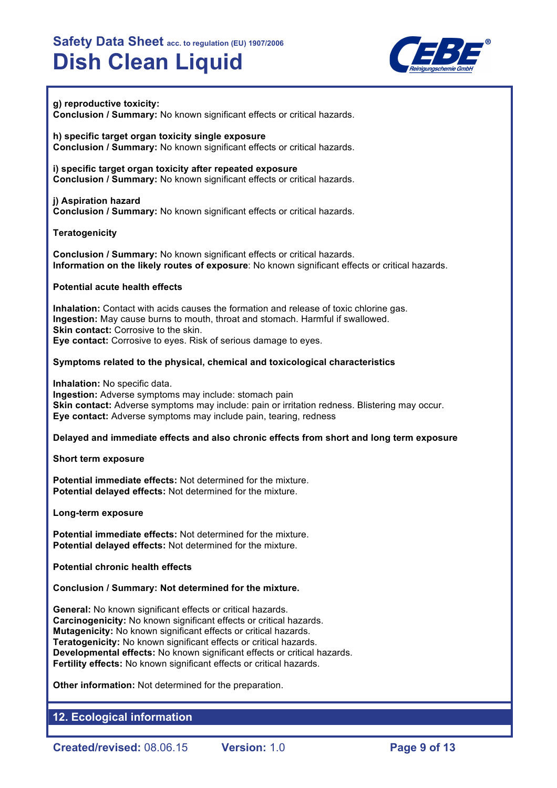

### **g) reproductive toxicity:**

**Conclusion / Summary:** No known significant effects or critical hazards.

**h) specific target organ toxicity single exposure Conclusion / Summary:** No known significant effects or critical hazards.

**i) specific target organ toxicity after repeated exposure Conclusion / Summary:** No known significant effects or critical hazards.

**j) Aspiration hazard Conclusion / Summary:** No known significant effects or critical hazards.

#### **Teratogenicity**

**Conclusion / Summary:** No known significant effects or critical hazards. **Information on the likely routes of exposure**: No known significant effects or critical hazards.

#### **Potential acute health effects**

**Inhalation:** Contact with acids causes the formation and release of toxic chlorine gas. **Ingestion:** May cause burns to mouth, throat and stomach. Harmful if swallowed. **Skin contact:** Corrosive to the skin. **Eye contact:** Corrosive to eyes. Risk of serious damage to eyes.

#### **Symptoms related to the physical, chemical and toxicological characteristics**

**Inhalation:** No specific data. **Ingestion:** Adverse symptoms may include: stomach pain **Skin contact:** Adverse symptoms may include: pain or irritation redness. Blistering may occur. **Eye contact:** Adverse symptoms may include pain, tearing, redness

#### **Delayed and immediate effects and also chronic effects from short and long term exposure**

**Short term exposure**

**Potential immediate effects:** Not determined for the mixture. **Potential delayed effects:** Not determined for the mixture.

**Long-term exposure**

**Potential immediate effects:** Not determined for the mixture. **Potential delayed effects:** Not determined for the mixture.

**Potential chronic health effects**

**Conclusion / Summary: Not determined for the mixture.**

**General:** No known significant effects or critical hazards. **Carcinogenicity:** No known significant effects or critical hazards. **Mutagenicity:** No known significant effects or critical hazards. **Teratogenicity:** No known significant effects or critical hazards. **Developmental effects:** No known significant effects or critical hazards. **Fertility effects:** No known significant effects or critical hazards.

**Other information:** Not determined for the preparation.

## **12. Ecological information**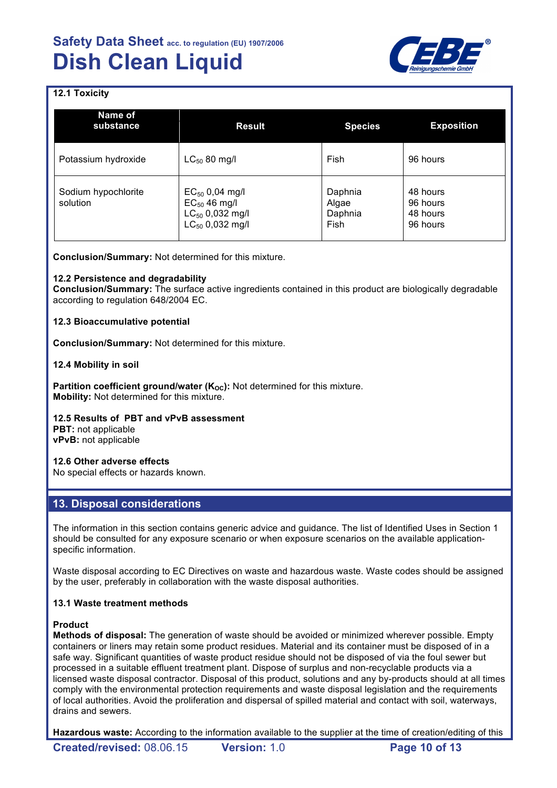

## **12.1 Toxicity**

| Name of<br>substance            | <b>Result</b>                                                                            | <b>Species</b>                      | <b>Exposition</b>                            |
|---------------------------------|------------------------------------------------------------------------------------------|-------------------------------------|----------------------------------------------|
| Potassium hydroxide             | $LC_{50}$ 80 mg/l                                                                        | Fish                                | 96 hours                                     |
| Sodium hypochlorite<br>solution | $EC_{50}$ 0,04 mg/l<br>$EC_{50}$ 46 mg/l<br>$LC_{50}$ 0,032 mg/l<br>$LC_{50}$ 0,032 mg/l | Daphnia<br>Algae<br>Daphnia<br>Fish | 48 hours<br>96 hours<br>48 hours<br>96 hours |

**Conclusion/Summary:** Not determined for this mixture.

#### **12.2 Persistence and degradability**

**Conclusion/Summary:** The surface active ingredients contained in this product are biologically degradable according to regulation 648/2004 EC.

#### **12.3 Bioaccumulative potential**

**Conclusion/Summary:** Not determined for this mixture.

#### **12.4 Mobility in soil**

**Partition coefficient ground/water (K<sub>OC</sub>):** Not determined for this mixture. **Mobility:** Not determined for this mixture.

**12.5 Results of PBT and vPvB assessment**

**PBT:** not applicable **vPvB:** not applicable

#### **12.6 Other adverse effects**

No special effects or hazards known.

## **13. Disposal considerations**

The information in this section contains generic advice and guidance. The list of Identified Uses in Section 1 should be consulted for any exposure scenario or when exposure scenarios on the available applicationspecific information.

Waste disposal according to EC Directives on waste and hazardous waste. Waste codes should be assigned by the user, preferably in collaboration with the waste disposal authorities.

#### **13.1 Waste treatment methods**

#### **Product**

**Methods of disposal:** The generation of waste should be avoided or minimized wherever possible. Empty containers or liners may retain some product residues. Material and its container must be disposed of in a safe way. Significant quantities of waste product residue should not be disposed of via the foul sewer but processed in a suitable effluent treatment plant. Dispose of surplus and non-recyclable products via a licensed waste disposal contractor. Disposal of this product, solutions and any by-products should at all times comply with the environmental protection requirements and waste disposal legislation and the requirements of local authorities. Avoid the proliferation and dispersal of spilled material and contact with soil, waterways, drains and sewers.

**Hazardous waste:** According to the information available to the supplier at the time of creation/editing of this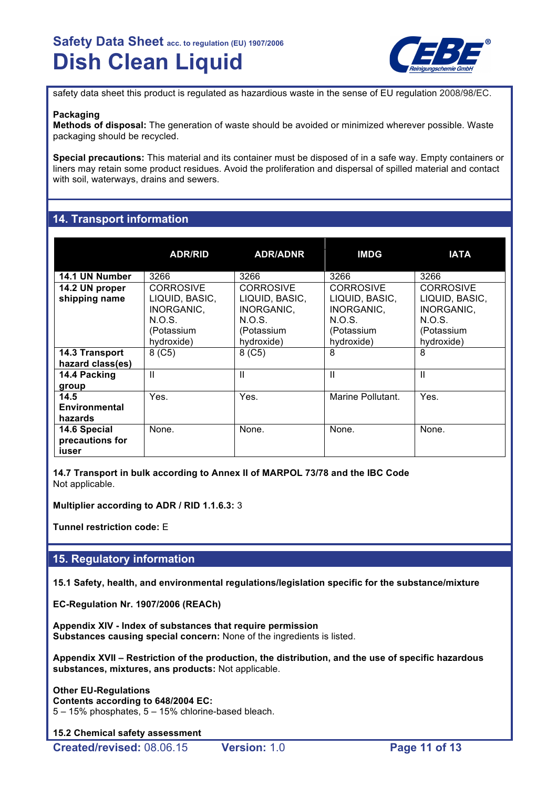

safety data sheet this product is regulated as hazardious waste in the sense of EU regulation 2008/98/EC.

#### **Packaging**

**Methods of disposal:** The generation of waste should be avoided or minimized wherever possible. Waste packaging should be recycled.

**Special precautions:** This material and its container must be disposed of in a safe way. Empty containers or liners may retain some product residues. Avoid the proliferation and dispersal of spilled material and contact with soil, waterways, drains and sewers.

## **14. Transport information**

|                                          | <b>ADR/RID</b>                                                                         | <b>ADR/ADNR</b>                                                                        | <b>IMDG</b>                                                                            | <b>IATA</b>                                                                            |
|------------------------------------------|----------------------------------------------------------------------------------------|----------------------------------------------------------------------------------------|----------------------------------------------------------------------------------------|----------------------------------------------------------------------------------------|
| 14.1 UN Number                           | 3266                                                                                   | 3266                                                                                   | 3266                                                                                   | 3266                                                                                   |
| 14.2 UN proper<br>shipping name          | <b>CORROSIVE</b><br>LIQUID, BASIC,<br>INORGANIC,<br>N.O.S.<br>(Potassium<br>hydroxide) | <b>CORROSIVE</b><br>LIQUID, BASIC,<br>INORGANIC,<br>N.O.S.<br>(Potassium<br>hydroxide) | <b>CORROSIVE</b><br>LIQUID, BASIC,<br>INORGANIC,<br>N.O.S.<br>(Potassium<br>hydroxide) | <b>CORROSIVE</b><br>LIQUID, BASIC,<br>INORGANIC,<br>N.O.S.<br>(Potassium<br>hydroxide) |
| 14.3 Transport<br>hazard class(es)       | $8($ C5 $)$                                                                            | $8($ C5 $)$                                                                            | 8                                                                                      | 8                                                                                      |
| 14.4 Packing<br>group                    | $\mathbf{I}$                                                                           | Ш                                                                                      | Ш                                                                                      | $\mathsf{II}$                                                                          |
| 14.5<br><b>Environmental</b><br>hazards  | Yes.                                                                                   | Yes.                                                                                   | Marine Pollutant.                                                                      | Yes.                                                                                   |
| 14.6 Special<br>precautions for<br>iuser | None.                                                                                  | None.                                                                                  | None.                                                                                  | None.                                                                                  |

**14.7 Transport in bulk according to Annex II of MARPOL 73/78 and the IBC Code** Not applicable.

**Multiplier according to ADR / RID 1.1.6.3:** 3

**Tunnel restriction code:** E

## **15. Regulatory information**

**15.1 Safety, health, and environmental regulations/legislation specific for the substance/mixture**

**EC-Regulation Nr. 1907/2006 (REACh)**

**Appendix XIV - Index of substances that require permission Substances causing special concern:** None of the ingredients is listed.

**Appendix XVII – Restriction of the production, the distribution, and the use of specific hazardous substances, mixtures, ans products:** Not applicable.

**Other EU-Regulations Contents according to 648/2004 EC:** 5 – 15% phosphates, 5 – 15% chlorine-based bleach.

**15.2 Chemical safety assessment**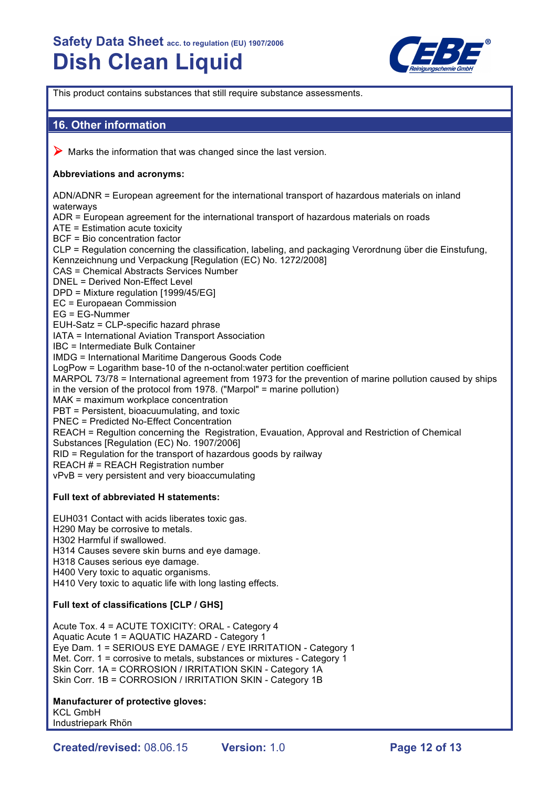

This product contains substances that still require substance assessments.

## **16. Other information**

 $\triangleright$  Marks the information that was changed since the last version.

### **Abbreviations and acronyms:**

ADN/ADNR = European agreement for the international transport of hazardous materials on inland waterways ADR = European agreement for the international transport of hazardous materials on roads ATE = Estimation acute toxicity BCF = Bio concentration factor

CLP = Regulation concerning the classification, labeling, and packaging Verordnung über die Einstufung, Kennzeichnung und Verpackung [Regulation (EC) No. 1272/2008] CAS = Chemical Abstracts Services Number DNEL = Derived Non-Effect Level DPD = Mixture regulation [1999/45/EG] EC = Europaean Commission EG = EG-Nummer EUH-Satz = CLP-specific hazard phrase IATA = International Aviation Transport Association IBC = Intermediate Bulk Container IMDG = International Maritime Dangerous Goods Code LogPow = Logarithm base-10 of the n-octanol:water pertition coefficient MARPOL 73/78 = International agreement from 1973 for the prevention of marine pollution caused by ships in the version of the protocol from 1978. ("Marpol" = marine pollution) MAK = maximum workplace concentration PBT = Persistent, bioacuumulating, and toxic PNEC = Predicted No-Effect Concentration REACH = Regultion concerning the Registration, Evauation, Approval and Restriction of Chemical Substances [Regulation (EC) No. 1907/2006] RID = Regulation for the transport of hazardous goods by railway REACH # = REACH Registration number vPvB = very persistent and very bioaccumulating

### **Full text of abbreviated H statements:**

EUH031 Contact with acids liberates toxic gas. H290 May be corrosive to metals. H302 Harmful if swallowed. H314 Causes severe skin burns and eye damage. H318 Causes serious eye damage.

H400 Very toxic to aquatic organisms.

H410 Very toxic to aquatic life with long lasting effects.

#### **Full text of classifications [CLP / GHS]**

Acute Tox. 4 = ACUTE TOXICITY: ORAL - Category 4 Aquatic Acute 1 = AQUATIC HAZARD - Category 1 Eye Dam. 1 = SERIOUS EYE DAMAGE / EYE IRRITATION - Category 1 Met. Corr. 1 = corrosive to metals, substances or mixtures - Category 1 Skin Corr. 1A = CORROSION / IRRITATION SKIN - Category 1A Skin Corr. 1B = CORROSION / IRRITATION SKIN - Category 1B

#### **Manufacturer of protective gloves:**

KCL GmbH Industriepark Rhön